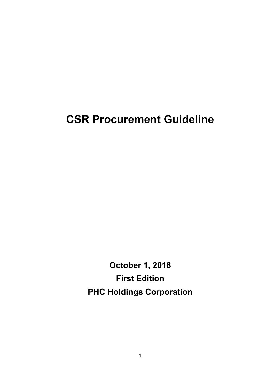# **CSR Procurement Guideline**

**October 1, 2018 First Edition PHC Holdings Corporation**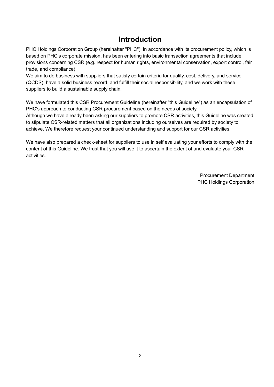## **Introduction**

PHC Holdings Corporation Group (hereinafter "PHC"), in accordance with its procurement policy, which is based on PHC's corporate mission, has been entering into basic transaction agreements that include provisions concerning CSR (e.g. respect for human rights, environmental conservation, export control, fair trade, and compliance).

We aim to do business with suppliers that satisfy certain criteria for quality, cost, delivery, and service (QCDS), have a solid business record, and fulfill their social responsibility, and we work with these suppliers to build a sustainable supply chain.

We have formulated this CSR Procurement Guideline (hereinafter "this Guideline") as an encapsulation of PHC's approach to conducting CSR procurement based on the needs of society.

Although we have already been asking our suppliers to promote CSR activities, this Guideline was created to stipulate CSR-related matters that all organizations including ourselves are required by society to achieve. We therefore request your continued understanding and support for our CSR activities.

We have also prepared a check-sheet for suppliers to use in self evaluating your efforts to comply with the content of this Guideline. We trust that you will use it to ascertain the extent of and evaluate your CSR activities.

> Procurement Department PHC Holdings Corporation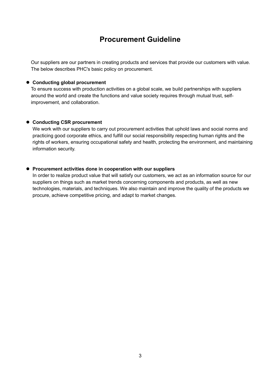## **Procurement Guideline**

Our suppliers are our partners in creating products and services that provide our customers with value. The below describes PHC's basic policy on procurement.

#### **Conducting global procurement**

To ensure success with production activities on a global scale, we build partnerships with suppliers around the world and create the functions and value society requires through mutual trust, selfimprovement, and collaboration.

#### **Conducting CSR procurement**

We work with our suppliers to carry out procurement activities that uphold laws and social norms and practicing good corporate ethics, and fulfill our social responsibility respecting human rights and the rights of workers, ensuring occupational safety and health, protecting the environment, and maintaining information security.

#### **Procurement activities done in cooperation with our suppliers**

In order to realize product value that will satisfy our customers, we act as an information source for our suppliers on things such as market trends concerning components and products, as well as new technologies, materials, and techniques. We also maintain and improve the quality of the products we procure, achieve competitive pricing, and adapt to market changes.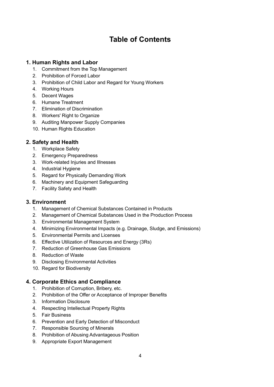# **Table of Contents**

## **1. Human Rights and Labor**

- 1. Commitment from the Top Management
- 2. Prohibition of Forced Labor
- 3. Prohibition of Child Labor and Regard for Young Workers
- 4. Working Hours
- 5. Decent Wages
- 6. Humane Treatment
- 7. Elimination of Discrimination
- 8. Workers' Right to Organize
- 9. Auditing Manpower Supply Companies
- 10. Human Rights Education

## **2. Safety and Health**

- 1. Workplace Safety
- 2. Emergency Preparedness
- 3. Work-related Injuries and Illnesses
- 4. Industrial Hygiene
- 5. Regard for Physically Demanding Work
- 6. Machinery and Equipment Safeguarding
- 7. Facility Safety and Health

## **3. Environment**

- 1. Management of Chemical Substances Contained in Products
- 2. Management of Chemical Substances Used in the Production Process
- 3. Environmental Management System
- 4. Minimizing Environmental Impacts (e.g. Drainage, Sludge, and Emissions)
- 5. Environmental Permits and Licenses
- 6. Effective Utilization of Resources and Energy (3Rs)
- 7. Reduction of Greenhouse Gas Emissions
- 8. Reduction of Waste
- 9. Disclosing Environmental Activities
- 10. Regard for Biodiversity

## **4. Corporate Ethics and Compliance**

- 1. Prohibition of Corruption, Bribery, etc.
- 2. Prohibition of the Offer or Acceptance of Improper Benefits
- 3. Information Disclosure
- 4. Respecting Intellectual Property Rights
- 5. Fair Business
- 6. Prevention and Early Detection of Misconduct
- 7. Responsible Sourcing of Minerals
- 8. Prohibition of Abusing Advantageous Position
- 9. Appropriate Export Management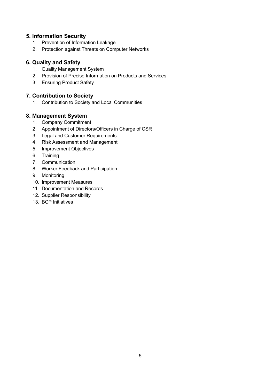## **5. Information Security**

- 1. Prevention of Information Leakage
- 2. Protection against Threats on Computer Networks

## **6. Quality and Safety**

- 1. Quality Management System
- 2. Provision of Precise Information on Products and Services
- 3. Ensuring Product Safety

## **7. Contribution to Society**

1. Contribution to Society and Local Communities

## **8. Management System**

- 1. Company Commitment
- 2. Appointment of Directors/Officers in Charge of CSR
- 3. Legal and Customer Requirements
- 4. Risk Assessment and Management
- 5. Improvement Objectives
- 6. Training
- 7. Communication
- 8. Worker Feedback and Participation
- 9. Monitoring
- 10. Improvement Measures
- 11. Documentation and Records
- 12. Supplier Responsibility
- 13. BCP Initiatives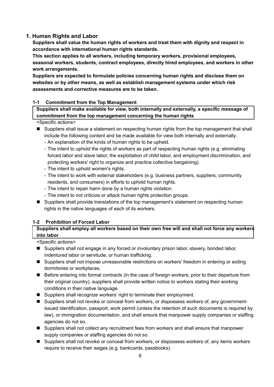## **1. Human Rights and Labor**

**Suppliers shall value the human rights of workers and treat them with dignity and respect in accordance with international human rights standards.** 

**This section applies to all workers, including temporary workers, provisional employees, seasonal workers, students, contract employees, directly hired employees, and workers in other work arrangements.** 

**Suppliers are expected to formulate policies concerning human rights and disclose them on websites or by other means, as well as establish management systems under which risk assessments and corrective measures are to be taken.** 

#### **1-1 Commitment from the Top Management**

**Suppliers shall make available for view, both internally and externally, a specific message of commitment from the top management concerning the human rights**

#### <Specific actions>

- Suppliers shall issue a statement on respecting human rights from the top management that shall include the following content and be made available for view both internally and externally.
	- An explanation of the kinds of human rights to be upheld.
	- The intent to uphold the rights of workers as part of respecting human rights (e.g. eliminating forced labor and slave labor, the exploitation of child labor, and employment discrimination, and protecting workers' right to organize and practice collective bargaining).
	- The intent to uphold women's rights.
	- The intent to work with external stakeholders (e.g. business partners, suppliers, community residents, and consumers) in efforts to uphold human rights.
	- The intent to repair harm done by a human rights violation.
	- The intent to not criticize or attack human rights protection groups.
- Suppliers shall provide translations of the top management's statement on respecting human rights in the native languages of each of its workers.

## **1-2 Prohibition of Forced Labor**

## **Suppliers shall employ all workers based on their own free will and shall not force any workers into labor**

- Suppliers shall not engage in any forced or involuntary prison labor, slavery, bonded labor, indentured labor or servitude, or human trafficking.
- Suppliers shall not impose unreasonable restrictions on workers' freedom in entering or exiting dormitories or workplaces.
- Before entering into formal contracts (in the case of foreign workers, prior to their departure from their original country), suppliers shall provide written notice to workers stating their working conditions in their native language.
- Suppliers shall recognize workers' right to terminate their employment.
- Suppliers shall not revoke or conceal from workers, or dispossess workers of, any governmentissued identification, passport, work permit (unless the retention of such documents is required by law), or immigration documentation, and shall ensure that manpower supply companies or staffing agencies do not so.
- Suppliers shall not collect any recruitment fees from workers and shall ensure that manpower supply companies or staffing agencies do not so.
- Suppliers shall not revoke or conceal from workers, or dispossess workers of, any items workers require to receive their wages (e.g. bankcards, passbooks).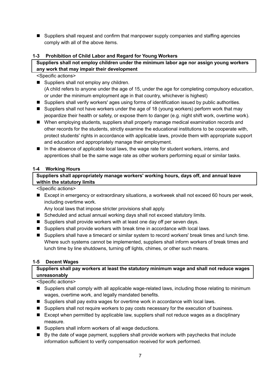■ Suppliers shall request and confirm that manpower supply companies and staffing agencies comply with all of the above items.

## **1-3 Prohibition of Child Labor and Regard for Young Workers**

## **Suppliers shall not employ children under the minimum labor age nor assign young workers any work that may impair their development**

<Specific actions>

- Suppliers shall not employ any children. (A child refers to anyone under the age of 15, under the age for completing compulsory education, or under the minimum employment age in that country, whichever is highest)
- Suppliers shall verify workers' ages using forms of identification issued by public authorities.
- Suppliers shall not have workers under the age of 18 (young workers) perform work that may jeopardize their health or safety, or expose them to danger (e.g. night shift work, overtime work).
- When employing students, suppliers shall properly manage medical examination records and other records for the students, strictly examine the educational institutions to be cooperate with, protect students' rights in accordance with applicable laws, provide them with appropriate support and education and appropriately manage their employment.
- In the absence of applicable local laws, the wage rate for student workers, interns, and apprentices shall be the same wage rate as other workers performing equal or similar tasks.

## **1-4 Working Hours**

## **Suppliers shall appropriately manage workers' working hours, days off, and annual leave within the statutory limits**

<Specific actions>

Except in emergency or extraordinary situations, a workweek shall not exceed 60 hours per week, including overtime work.

Any local laws that impose stricter provisions shall apply.

- Scheduled and actual annual working days shall not exceed statutory limits.
- Suppliers shall provide workers with at least one day off per seven days.
- Suppliers shall provide workers with break time in accordance with local laws.
- Suppliers shall have a timecard or similar system to record workers' break times and lunch time. Where such systems cannot be implemented, suppliers shall inform workers of break times and lunch time by line shutdowns, turning off lights, chimes, or other such means.

#### **1-5 Decent Wages**

## **Suppliers shall pay workers at least the statutory minimum wage and shall not reduce wages unreasonably**

- Suppliers shall comply with all applicable wage-related laws, including those relating to minimum wages, overtime work, and legally mandated benefits.
- Suppliers shall pay extra wages for overtime work in accordance with local laws.
- **Suppliers shall not require workers to pay costs necessary for the execution of business.**
- Except when permitted by applicable law, suppliers shall not reduce wages as a disciplinary measure.
- Suppliers shall inform workers of all wage deductions.
- By the date of wage payment, suppliers shall provide workers with paychecks that include information sufficient to verify compensation received for work performed.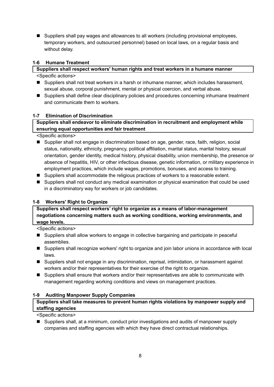■ Suppliers shall pay wages and allowances to all workers (including provisional employees, temporary workers, and outsourced personnel) based on local laws, on a regular basis and without delay.

#### **1-6 Humane Treatment**

#### **Suppliers shall respect workers' human rights and treat workers in a humane manner**

<Specific actions>

- Suppliers shall not treat workers in a harsh or inhumane manner, which includes harassment, sexual abuse, corporal punishment, mental or physical coercion, and verbal abuse.
- Suppliers shall define clear disciplinary policies and procedures concerning inhumane treatment and communicate them to workers.

#### **1-7 Elimination of Discrimination**

## **Suppliers shall endeavor to eliminate discrimination in recruitment and employment while ensuring equal opportunities and fair treatment**

<Specific actions>

- Supplier shall not engage in discrimination based on age, gender, race, faith, religion, social status, nationality, ethnicity, pregnancy, political affiliation, marital status, marital history, sexual orientation, gender identity, medical history, physical disability, union membership, the presence or absence of hepatitis, HIV, or other infectious disease, genetic information, or military experience in employment practices, which include wages, promotions, bonuses, and access to training.
- Suppliers shall accommodate the religious practices of workers to a reasonable extent.
- **Suppliers shall not conduct any medical examination or physical examination that could be used** in a discriminatory way for workers or job candidates.

## **1-8 Workers' Right to Organize**

#### **Suppliers shall respect workers' right to organize as a means of labor-management negotiations concerning matters such as working conditions, working environments, and wage levels.**

<Specific actions>

- Suppliers shall allow workers to engage in collective bargaining and participate in peaceful assemblies.
- Suppliers shall recognize workers' right to organize and join labor unions in accordance with local laws.
- Suppliers shall not engage in any discrimination, reprisal, intimidation, or harassment against workers and/or their representatives for their exercise of the right to organize.
- Suppliers shall ensure that workers and/or their representatives are able to communicate with management regarding working conditions and views on management practices.

#### **1-9 Auditing Manpower Supply Companies**

## **Suppliers shall take measures to prevent human rights violations by manpower supply and staffing agencies**

<Specific actions>

■ Suppliers shall, at a minimum, conduct prior investigations and audits of manpower supply companies and staffing agencies with which they have direct contractual relationships.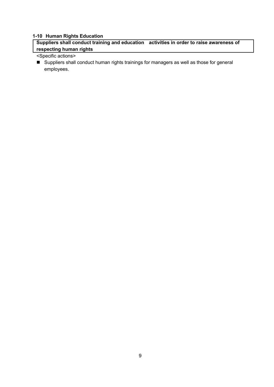## **1-10 Human Rights Education**

**Suppliers shall conduct training and education activities in order to raise awareness of respecting human rights**

## <Specific actions>

■ Suppliers shall conduct human rights trainings for managers as well as those for general employees.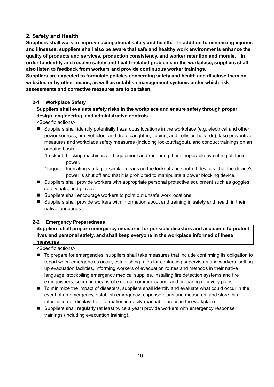## **2. Safety and Health**

**Suppliers shall work to improve occupational safety and health. In addition to minimizing injuries and illnesses, suppliers shall also be aware that safe and healthy work environments enhance the quality of products and services, production consistency, and worker retention and morale. In order to identify and resolve safety and health-related problems in the workplace, suppliers shall also listen to feedback from workers and provide continuous worker trainings.** 

**Suppliers are expected to formulate policies concerning safety and health and disclose them on websites or by other means, as well as establish management systems under which risk assessments and corrective measures are to be taken.** 

#### **2-1 Workplace Safety**

**Suppliers shall evaluate safety risks in the workplace and ensure safety through proper design, engineering, and administrative controls**

#### <Specific actions>

- Suppliers shall identify potentially hazardous locations in the workplace (e.g. electrical and other power sources; fire; vehicles; and drop, caught-in, tipping, and collision hazards), take preventive measures and workplace safety measures (including lockout/tagout), and conduct trainings on an ongoing basis.
	- \*Lockout: Locking machines and equipment and rendering them inoperable by cutting off their power.
	- \*Tagout: Indicating via tag or similar means on the lockout and shut-off devices, that the device's power is shut off and that it is prohibited to manipulate a power blocking device.
- **Suppliers shall provide workers with appropriate personal protective equipment such as goggles,** safety hats, and gloves.
- Suppliers shall encourage workers to point out unsafe work locations.
- Suppliers shall provide workers with information about and training in safety and health in their native languages.

#### **2-2 Emergency Preparedness**

**Suppliers shall prepare emergency measures for possible disasters and accidents to protect lives and personal safety, and shall keep everyone in the workplace informed of these measures** 

- To prepare for emergencies, suppliers shall take measures that include confirming its obligation to report when emergencies occur, establishing rules for contacting supervisors and workers, setting up evacuation facilities, informing workers of evacuation routes and methods in their native language, stockpiling emergency medical supplies, installing fire detection systems and fire extinguishers, securing means of external communication, and preparing recovery plans.
- To minimize the impact of disasters, suppliers shall identify and evaluate what could occur in the event of an emergency, establish emergency response plans and measures, and store this information or display the information in easily-reachable areas in the workplace.
- **Suppliers shall regularly (at least twice a year) provide workers with emergency response** trainings (including evacuation training).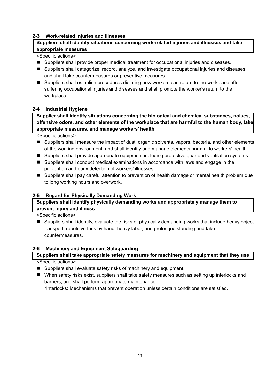### **2-3 Work-related Injuries and Illnesses**

## **Suppliers shall identify situations concerning work-related injuries and illnesses and take appropriate measures**

#### <Specific actions>

- **Suppliers shall provide proper medical treatment for occupational injuries and diseases.**
- Suppliers shall categorize, record, analyze, and investigate occupational injuries and diseases, and shall take countermeasures or preventive measures.
- Suppliers shall establish procedures dictating how workers can return to the workplace after suffering occupational injuries and diseases and shall promote the worker's return to the workplace.

#### **2-4 Industrial Hygiene**

**Supplier shall identify situations concerning the biological and chemical substances, noises, offensive odors, and other elements of the workplace that are harmful to the human body, take appropriate measures, and manage workers' health**

<Specific actions>

- Suppliers shall measure the impact of dust, organic solvents, vapors, bacteria, and other elements of the working environment, and shall identify and manage elements harmful to workers' health.
- Suppliers shall provide appropriate equipment including protective gear and ventilation systems.
- Suppliers shall conduct medical examinations in accordance with laws and engage in the prevention and early detection of workers' illnesses.
- Suppliers shall pay careful attention to prevention of health damage or mental health problem due to long working hours and overwork.

## **2-5 Regard for Physically Demanding Work**

## **Suppliers shall identify physically demanding works and appropriately manage them to prevent injury and illness**

<Specific actions>

■ Suppliers shall identify, evaluate the risks of physically demanding works that include heavy object transport, repetitive task by hand, heavy labor, and prolonged standing and take countermeasures.

#### **2-6 Machinery and Equipment Safeguarding**

# **Suppliers shall take appropriate safety measures for machinery and equipment that they use**

<Specific actions>

- Suppliers shall evaluate safety risks of machinery and equipment.
- When safety risks exist, suppliers shall take safety measures such as setting up interlocks and barriers, and shall perform appropriate maintenance.

\*Interlocks: Mechanisms that prevent operation unless certain conditions are satisfied.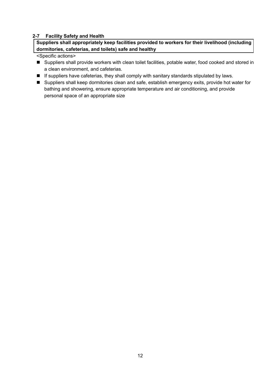#### **2-7 Facility Safety and Health**

**Suppliers shall appropriately keep facilities provided to workers for their livelihood (including dormitories, cafeterias, and toilets) safe and healthy**

- Suppliers shall provide workers with clean toilet facilities, potable water, food cooked and stored in a clean environment, and cafeterias.
- **If suppliers have cafeterias, they shall comply with sanitary standards stipulated by laws.**
- Suppliers shall keep dormitories clean and safe, establish emergency exits, provide hot water for bathing and showering, ensure appropriate temperature and air conditioning, and provide personal space of an appropriate size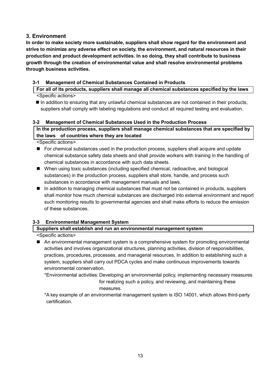## **3. Environment**

**In order to make society more sustainable, suppliers shall show regard for the environment and strive to minimize any adverse effect on society, the environment, and natural resources in their production and product development activities. In so doing, they shall contribute to business growth through the creation of environmental value and shall resolve environmental problems through business activities.**

## **3-1 Management of Chemical Substances Contained in Products**

**For all of its products, suppliers shall manage all chemical substances specified by the laws** <Specific actions>

 In addition to ensuring that any unlawful chemical substances are not contained in their products, suppliers shall comply with labeling regulations and conduct all required testing and evaluation.

## **3-2 Management of Chemical Substances Used in the Production Process**

## **In the production process, suppliers shall manage chemical substances that are specified by the laws of countries where they are located**

<Specific actions>

- For chemical substances used in the production process, suppliers shall acquire and update chemical substance safety data sheets and shall provide workers with training in the handling of chemical substances in accordance with such data sheets.
- When using toxic substances (including specified chemical, radioactive, and biological substances) in the production process, suppliers shall store, handle, and process such substances in accordance with management manuals and laws.
- In addition to managing chemical substances that must not be contained in products, suppliers shall monitor how much chemical substances are discharged into external environment and report such monitoring results to governmental agencies and shall make efforts to reduce the emission of these substances.

## **3-3 Environmental Management System**

## **Suppliers shall establish and run an environmental management system**

- An environmental management system is a comprehensive system for promoting environmental activities and involves organizational structures, planning activities, division of responsibilities, practices, procedures, processes, and managerial resources. In addition to establishing such a system, suppliers shall carry out PDCA cycles and make continuous improvements towards environmental conservation.
	- \*Environmental activities: Developing an environmental policy, implementing necessary measures for realizing such a policy, and reviewing, and maintaining these measures.
	- \*A key example of an environmental management system is ISO 14001, which allows third-party certification.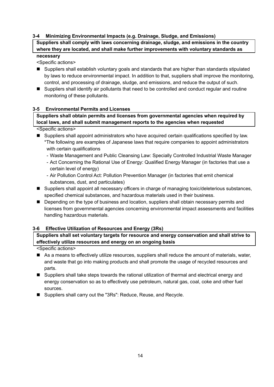#### **3-4 Minimizing Environmental Impacts (e.g. Drainage, Sludge, and Emissions)**

**Suppliers shall comply with laws concerning drainage, sludge, and emissions in the country where they are located, and shall make further improvements with voluntary standards as** 

## **necessary**

<Specific actions>

- Suppliers shall establish voluntary goals and standards that are higher than standards stipulated by laws to reduce environmental impact. In addition to that, suppliers shall improve the monitoring, control, and processing of drainage, sludge, and emissions, and reduce the output of such.
- Suppliers shall identify air pollutants that need to be controlled and conduct regular and routine monitoring of these pollutants.

#### **3-5 Environmental Permits and Licenses**

**Suppliers shall obtain permits and licenses from governmental agencies when required by local laws, and shall submit management reports to the agencies when requested**

<Specific actions>

- Suppliers shall appoint administrators who have acquired certain qualifications specified by law. \*The following are examples of Japanese laws that require companies to appoint administrators with certain qualifications
	- Waste Management and Public Cleansing Law: Specially Controlled Industrial Waste Manager
	- Act Concerning the Rational Use of Energy: Qualified Energy Manager (in factories that use a certain level of energy)
	- Air Pollution Control Act: Pollution Prevention Manager (in factories that emit chemical substances, dust, and particulates)
- Suppliers shall appoint all necessary officers in charge of managing toxic/deleterious substances, specified chemical substances, and hazardous materials used in their business.
- **Depending on the type of business and location, suppliers shall obtain necessary permits and** licenses from governmental agencies concerning environmental impact assessments and facilities handling hazardous materials.

#### **3-6 Effective Utilization of Resources and Energy (3Rs)**

**Suppliers shall set voluntary targets for resource and energy conservation and shall strive to effectively utilize resources and energy on an ongoing basis**

- As a means to effectively utilize resources, suppliers shall reduce the amount of materials, water, and waste that go into making products and shall promote the usage of recycled resources and parts.
- Suppliers shall take steps towards the rational utilization of thermal and electrical energy and energy conservation so as to effectively use petroleum, natural gas, coal, coke and other fuel sources.
- Suppliers shall carry out the "3Rs": Reduce, Reuse, and Recycle.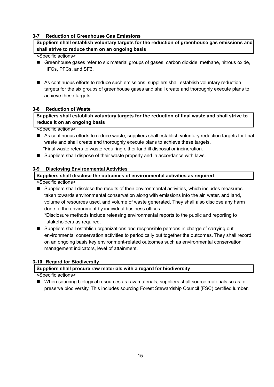#### **3-7 Reduction of Greenhouse Gas Emissions**

#### **Suppliers shall establish voluntary targets for the reduction of greenhouse gas emissions and shall strive to reduce them on an ongoing basis**

#### <Specific actions>

- Greenhouse gases refer to six material groups of gases: carbon dioxide, methane, nitrous oxide, HFCs, PFCs, and SF6.
- As continuous efforts to reduce such emissions, suppliers shall establish voluntary reduction targets for the six groups of greenhouse gases and shall create and thoroughly execute plans to achieve these targets.

#### **3-8 Reduction of Waste**

## **Suppliers shall establish voluntary targets for the reduction of final waste and shall strive to reduce it on an ongoing basis**

<Specific actions>

- As continuous efforts to reduce waste, suppliers shall establish voluntary reduction targets for final waste and shall create and thoroughly execute plans to achieve these targets. \*Final waste refers to waste requiring either landfill disposal or incineration.
- Suppliers shall dispose of their waste properly and in accordance with laws.

#### **3-9 Disclosing Environmental Activities**

#### **Suppliers shall disclose the outcomes of environmental activities as required**

<Specific actions>

■ Suppliers shall disclose the results of their environmental activities, which includes measures taken towards environmental conservation along with emissions into the air, water, and land, volume of resources used, and volume of waste generated. They shall also disclose any harm done to the environment by individual business offices.

\*Disclosure methods include releasing environmental reports to the public and reporting to stakeholders as required.

■ Suppliers shall establish organizations and responsible persons in charge of carrying out environmental conservation activities to periodically put together the outcomes. They shall record on an ongoing basis key environment-related outcomes such as environmental conservation management indicators, level of attainment.

#### **3-10 Regard for Biodiversity**

#### **Suppliers shall procure raw materials with a regard for biodiversity**

<Specific actions>

 When sourcing biological resources as raw materials, suppliers shall source materials so as to preserve biodiversity. This includes sourcing Forest Stewardship Council (FSC) certified lumber.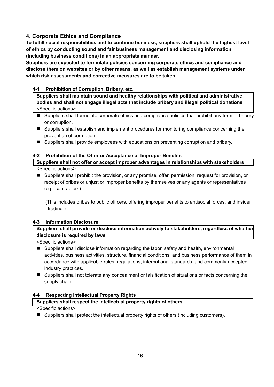## **4. Corporate Ethics and Compliance**

**To fulfill social responsibilities and to continue business, suppliers shall uphold the highest level of ethics by conducting sound and fair business management and disclosing information (including business conditions) in an appropriate manner.** 

**Suppliers are expected to formulate policies concerning corporate ethics and compliance and disclose them on websites or by other means, as well as establish management systems under which risk assessments and corrective measures are to be taken.** 

## **4-1 Prohibition of Corruption, Bribery, etc.**

**Suppliers shall maintain sound and healthy relationships with political and administrative bodies and shall not engage illegal acts that include bribery and illegal political donations** <Specific actions>

- Suppliers shall formulate corporate ethics and compliance policies that prohibit any form of bribery or corruption.
- Suppliers shall establish and implement procedures for monitoring compliance concerning the prevention of corruption.
- **Suppliers shall provide employees with educations on preventing corruption and bribery.**

## **4-2 Prohibition of the Offer or Acceptance of Improper Benefits**

**Suppliers shall not offer or accept improper advantages in relationships with stakeholders** <Specific actions>

 Suppliers shall prohibit the provision, or any promise, offer, permission, request for provision, or receipt of bribes or unjust or improper benefits by themselves or any agents or representatives (e.g. contractors).

(This includes bribes to public officers, offering improper benefits to antisocial forces, and insider trading.)

## **4-3 Information Disclosure**

**Suppliers shall provide or disclose information actively to stakeholders, regardless of whether disclosure is required by laws**

<Specific actions>

- Suppliers shall disclose information regarding the labor, safety and health, environmental activities, business activities, structure, financial conditions, and business performance of them in accordance with applicable rules, regulations, international standards, and commonly-accepted industry practices.
- Suppliers shall not tolerate any concealment or falsification of situations or facts concerning the supply chain.

## **4-4 Respecting Intellectual Property Rights**

## **Suppliers shall respect the intellectual property rights of others**

<Specific actions>

■ Suppliers shall protect the intellectual property rights of others (including customers).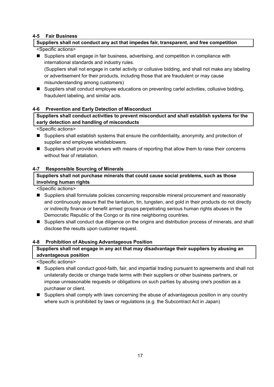#### **4-5 Fair Business**

## **Suppliers shall not conduct any act that impedes fair, transparent, and free competition**

### <Specific actions>

■ Suppliers shall engage in fair business, advertising, and competition in compliance with international standards and industry rules.

(Suppliers shall not engage in cartel activity or collusive bidding, and shall not make any labeling or advertisement for their products, including those that are fraudulent or may cause misunderstanding among customers)

■ Suppliers shall conduct employee educations on preventing cartel activities, collusive bidding, fraudulent labeling, and similar acts.

#### **4-6 Prevention and Early Detection of Misconduct**

**Suppliers shall conduct activities to prevent misconduct and shall establish systems for the early detection and handling of misconducts**

<Specific actions>

- Suppliers shall establish systems that ensure the confidentiality, anonymity, and protection of supplier and employee whistleblowers.
- Suppliers shall provide workers with means of reporting that allow them to raise their concerns without fear of retaliation.

## **4-7 Responsible Sourcing of Minerals**

## **Suppliers shall not purchase minerals that could cause social problems, such as those involving human rights**

<Specific actions>

- Suppliers shall formulate policies concerning responsible mineral procurement and reasonably and continuously assure that the tantalum, tin, tungsten, and gold in their products do not directly or indirectly finance or benefit armed groups perpetrating serious human rights abuses in the Democratic Republic of the Congo or its nine neighboring countries.
- Suppliers shall conduct due diligence on the origins and distribution process of minerals, and shall disclose the results upon customer request.

#### **4-8 Prohibition of Abusing Advantageous Position**

## **Suppliers shall not engage in any act that may disadvantage their suppliers by abusing an advantageous position**

- Suppliers shall conduct good-faith, fair, and impartial trading pursuant to agreements and shall not unilaterally decide or change trade terms with their suppliers or other business partners, or impose unreasonable requests or obligations on such parties by abusing one's position as a purchaser or client.
- Suppliers shall comply with laws concerning the abuse of advantageous position in any country where such is prohibited by laws or regulations (e.g. the Subcontract Act in Japan)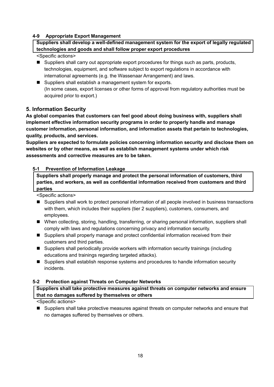#### **4-9 Appropriate Export Management**

**Suppliers shall develop a well-defined management system for the export of legally regulated technologies and goods and shall follow proper export procedures**

#### <Specific actions>

- Suppliers shall carry out appropriate export procedures for things such as parts, products, technologies, equipment, and software subject to export regulations in accordance with international agreements (e.g. the Wassenaar Arrangement) and laws.
- Suppliers shall establish a management system for exports. (In some cases, export licenses or other forms of approval from regulatory authorities must be acquired prior to export.)

## **5. Information Security**

**As global companies that customers can feel good about doing business with, suppliers shall implement effective information security programs in order to properly handle and manage customer information, personal information, and information assets that pertain to technologies, quality, products, and services.** 

**Suppliers are expected to formulate policies concerning information security and disclose them on websites or by other means, as well as establish management systems under which risk assessments and corrective measures are to be taken.** 

## **5-1 Prevention of Information Leakage**

**Suppliers shall properly manage and protect the personal information of customers, third parties, and workers, as well as confidential information received from customers and third parties**

<Specific actions>

- Suppliers shall work to protect personal information of all people involved in business transactions with them, which includes their suppliers (tier 2 suppliers), customers, consumers, and employees.
- When collecting, storing, handling, transferring, or sharing personal information, suppliers shall comply with laws and regulations concerning privacy and information security.
- Suppliers shall properly manage and protect confidential information received from their customers and third parties.
- Suppliers shall periodically provide workers with information security trainings (including educations and trainings regarding targeted attacks).
- Suppliers shall establish response systems and procedures to handle information security incidents.

#### **5-2 Protection against Threats on Computer Networks**

**Suppliers shall take protective measures against threats on computer networks and ensure that no damages suffered by themselves or others**

<Specific actions>

**Suppliers shall take protective measures against threats on computer networks and ensure that** no damages suffered by themselves or others.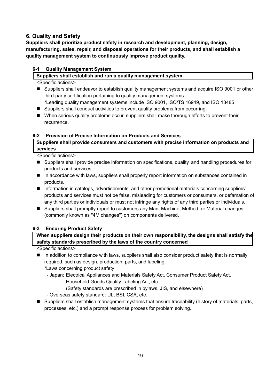## **6. Quality and Safety**

**Suppliers shall prioritize product safety in research and development, planning, design, manufacturing, sales, repair, and disposal operations for their products, and shall establish a quality management system to continuously improve product quality.** 

## **6-1 Quality Management System**

### **Suppliers shall establish and run a quality management system**

<Specific actions>

- Suppliers shall endeavor to establish quality management systems and acquire ISO 9001 or other third-party certification pertaining to quality management systems.
- \*Leading quality management systems include ISO 9001, ISO/TS 16949, and ISO 13485
- Suppliers shall conduct activities to prevent quality problems from occurring.
- When serious quality problems occur, suppliers shall make thorough efforts to prevent their recurrence.

## **6-2 Provision of Precise Information on Products and Services**

**Suppliers shall provide consumers and customers with precise information on products and services**

<Specific actions>

- Suppliers shall provide precise information on specifications, quality, and handling procedures for products and services.
- In accordance with laws, suppliers shall properly report information on substances contained in products.
- **Information in catalogs, advertisements, and other promotional materials concerning suppliers'** products and services must not be false, misleading for customers or consumers, or defamation of any third parties or individuals or must not infringe any rights of any third parties or individuals.
- Suppliers shall promptly report to customers any Man, Machine, Method, or Material changes (commonly known as "4M changes") on components delivered.

## **6-3 Ensuring Product Safety**

## **When suppliers design their products on their own responsibility, the designs shall satisfy the safety standards prescribed by the laws of the country concerned**

<Specific actions>

In addition to compliance with laws, suppliers shall also consider product safety that is normally required, such as design, production, parts, and labeling.

\*Laws concerning product safety

- Japan: Electrical Appliances and Materials Safety Act, Consumer Product Safety Act,

Household Goods Quality Labeling Act, etc.

(Safety standards are prescribed in bylaws, JIS, and elsewhere)

- Overseas safety standard: UL, BSI, CSA, etc.
- Suppliers shall establish management systems that ensure traceability (history of materials, parts, processes, etc.) and a prompt response process for problem solving.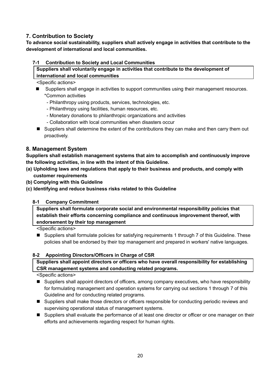## **7. Contribution to Society**

**To advance social sustainability, suppliers shall actively engage in activities that contribute to the development of international and local communities.** 

## **7-1 Contribution to Society and Local Communities**

**Suppliers shall voluntarily engage in activities that contribute to the development of international and local communities**

<Specific actions>

- **Suppliers shall engage in activities to support communities using their management resources.** \*Common activities
	- Philanthropy using products, services, technologies, etc.
	- Philanthropy using facilities, human resources, etc.
	- Monetary donations to philanthropic organizations and activities
	- Collaboration with local communities when disasters occur
- Suppliers shall determine the extent of the contributions they can make and then carry them out proactively.

## **8. Management System**

**Suppliers shall establish management systems that aim to accomplish and continuously improve the following activities, in line with the intent of this Guideline.** 

- **(a) Upholding laws and regulations that apply to their business and products, and comply with customer requirements**
- **(b) Complying with this Guideline**
- **(c) Identifying and reduce business risks related to this Guideline**

## **8-1 Company Commitment**

**Suppliers shall formulate corporate social and environmental responsibility policies that establish their efforts concerning compliance and continuous improvement thereof, with endorsement by their top management**

<Specific actions>

■ Suppliers shall formulate policies for satisfying requirements 1 through 7 of this Guideline. These policies shall be endorsed by their top management and prepared in workers' native languages.

#### **8-2 Appointing Directors/Officers in Charge of CSR**

**Suppliers shall appoint directors or officers who have overall responsibility for establishing CSR management systems and conducting related programs.** 

- Suppliers shall appoint directors of officers, among company executives, who have responsibility for formulating management and operation systems for carrying out sections 1 through 7 of this Guideline and for conducting related programs.
- Suppliers shall make those directors or officers responsible for conducting periodic reviews and supervising operational status of management systems.
- Suppliers shall evaluate the performance of at least one director or officer or one manager on their efforts and achievements regarding respect for human rights.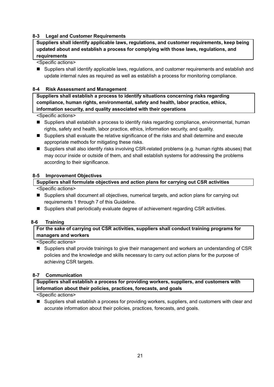#### **8-3 Legal and Customer Requirements**

**Suppliers shall identify applicable laws, regulations, and customer requirements, keep being updated about and establish a process for complying with those laws, regulations, and requirements**

<Specific actions>

■ Suppliers shall identify applicable laws, regulations, and customer requirements and establish and update internal rules as required as well as establish a process for monitoring compliance.

#### **8-4 Risk Assessment and Management**

**Suppliers shall establish a process to identify situations concerning risks regarding compliance, human rights, environmental, safety and health, labor practice, ethics, information security, and quality associated with their operations**

<Specific actions>

- Suppliers shall establish a process to identify risks regarding compliance, environmental, human rights, safety and health, labor practice, ethics, information security, and quality.
- Suppliers shall evaluate the relative significance of the risks and shall determine and execute appropriate methods for mitigating these risks.
- Suppliers shall also identify risks involving CSR-related problems (e.g. human rights abuses) that may occur inside or outside of them, and shall establish systems for addressing the problems according to their significance.

#### **8-5 Improvement Objectives**

#### **Suppliers shall formulate objectives and action plans for carrying out CSR activities**

<Specific actions>

- Suppliers shall document all objectives, numerical targets, and action plans for carrying out requirements 1 through 7 of this Guideline.
- Suppliers shall periodically evaluate degree of achievement regarding CSR activities.

#### **8-6 Training**

**For the sake of carrying out CSR activities, suppliers shall conduct training programs for managers and workers**

<Specific actions>

■ Suppliers shall provide trainings to give their management and workers an understanding of CSR policies and the knowledge and skills necessary to carry out action plans for the purpose of achieving CSR targets.

#### **8-7 Communication**

**Suppliers shall establish a process for providing workers, suppliers, and customers with information about their policies, practices, forecasts, and goals** 

<Specific actions>

■ Suppliers shall establish a process for providing workers, suppliers, and customers with clear and accurate information about their policies, practices, forecasts, and goals.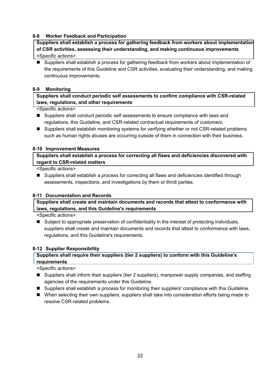#### **8-8 Worker Feedback and Participation**

**Suppliers shall establish a process for gathering feedback from workers about implementation of CSR activities, assessing their understanding, and making continuous improvements** <Specific actions>

■ Suppliers shall establish a process for gathering feedback from workers about implementation of the requirements of this Guideline and CSR activities, evaluating their understanding, and making continuous improvements.

#### **8-9 Monitoring**

**Suppliers shall conduct periodic self assessments to confirm compliance with CSR-related laws, regulations, and other requirements**

<Specific actions>

- Suppliers shall conduct periodic self assessments to ensure compliance with laws and regulations, this Guideline, and CSR-related contractual requirements of customers.
- Suppliers shall establish monitoring systems for verifying whether or not CSR-related problems such as human rights abuses are occurring outside of them in connection with their business.

#### **8-10 Improvement Measures**

**Suppliers shall establish a process for correcting all flaws and deficiencies discovered with regard to CSR-related matters**

<Specific actions>

■ Suppliers shall establish a process for correcting all flaws and deficiencies identified through assessments, inspections, and investigations by them or thirdl parties.

#### **8-11 Documentation and Records**

**Suppliers shall create and maintain documents and records that attest to conformance with laws, regulations, and this Guideline's requirements**

<Specific actions>

■ Subject to appropriate preservation of confidentiality in the interest of protecting individuals, suppliers shall create and maintain documents and records that attest to conformance with laws, regulations, and this Guideline's requirements.

#### **8-12 Supplier Responsibility**

#### **Suppliers shall require their suppliers (tier 2 suppliers) to conform with this Guideline's requirements**

- Suppliers shall inform their suppliers (tier 2 suppliers), manpower supply companies, and staffing agencies of the requirements under this Guideline.
- Suppliers shall establish a process for monitoring their suppliers' compliance with this Guideline.
- When selecting their own suppliers, suppliers shall take into consideration efforts being made to resolve CSR-related problems.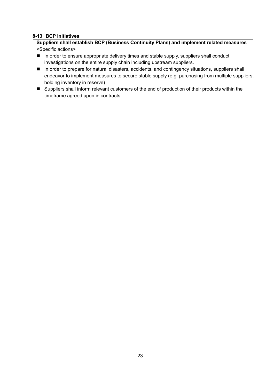#### **8-13 BCP Initiatives**

## **Suppliers shall establish BCP (Business Continuity Plans) and implement related measures**

- In order to ensure appropriate delivery times and stable supply, suppliers shall conduct investigations on the entire supply chain including upstream suppliers.
- **In order to prepare for natural disasters, accidents, and contingency situations, suppliers shall** endeavor to implement measures to secure stable supply (e.g. purchasing from multiple suppliers, holding inventory in reserve)
- Suppliers shall inform relevant customers of the end of production of their products within the timeframe agreed upon in contracts.